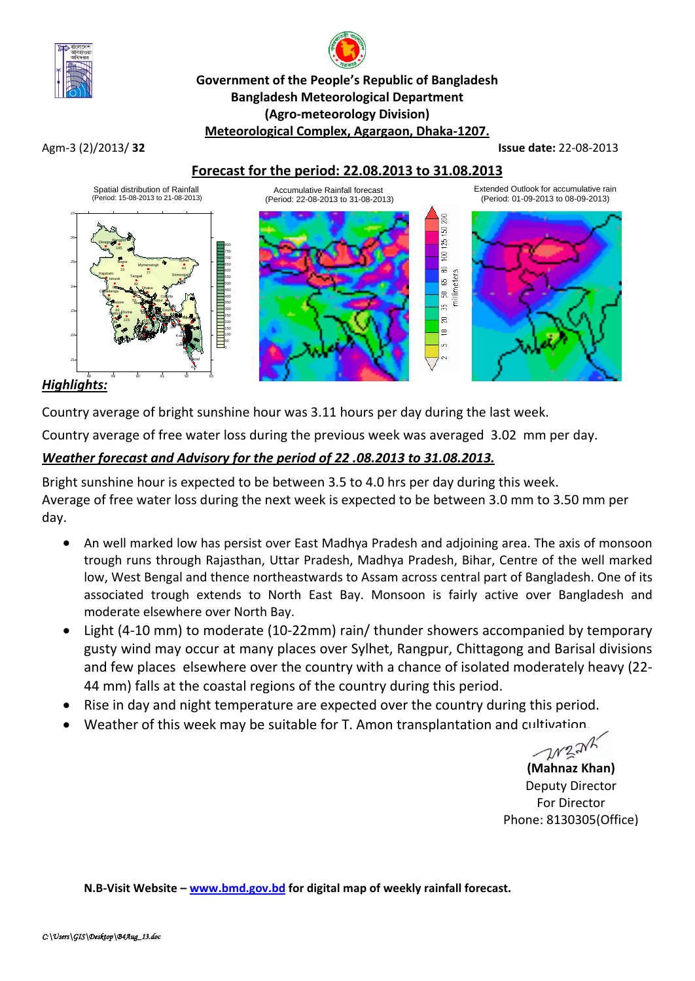

# **Government of the People's Republic of Bangladesh Bangladesh Meteorological Department (Agro-meteorology Division) Meteorological Complex, Agargaon, Dhaka-1207.**

#### Agm-3 (2)/2013/ **32 Issue date:** 22-08-2013

## **Forecast for the period: 22.08.2013 to 31.08.2013**



## *Highlights:*

Country average of bright sunshine hour was 3.11 hours per day during the last week.

Country average of free water loss during the previous week was averaged 3.02 mm per day.

## *Weather forecast and Advisory for the period of 22 .08.2013 to 31.08.2013.*

Bright sunshine hour is expected to be between 3.5 to 4.0 hrs per day during this week. Average of free water loss during the next week is expected to be between 3.0 mm to 3.50 mm per day.

- An well marked low has persist over East Madhya Pradesh and adjoining area. The axis of monsoon trough runs through Rajasthan, Uttar Pradesh, Madhya Pradesh, Bihar, Centre of the well marked low, West Bengal and thence northeastwards to Assam across central part of Bangladesh. One of its associated trough extends to North East Bay. Monsoon is fairly active over Bangladesh and moderate elsewhere over North Bay.
- Light (4-10 mm) to moderate (10-22mm) rain/ thunder showers accompanied by temporary gusty wind may occur at many places over Sylhet, Rangpur, Chittagong and Barisal divisions and few places elsewhere over the country with a chance of isolated moderately heavy (22- 44 mm) falls at the coastal regions of the country during this period.
- Rise in day and night temperature are expected over the country during this period.
- Weather of this week may be suitable for T. Amon transplantation and cultivation.

W321

**(Mahnaz Khan)** Deputy Director For Director Phone: 8130305(Office)

**N.B-Visit Website – [www.bmd.gov.bd](http://www.bmd.gov.bd/) for digital map of weekly rainfall forecast.**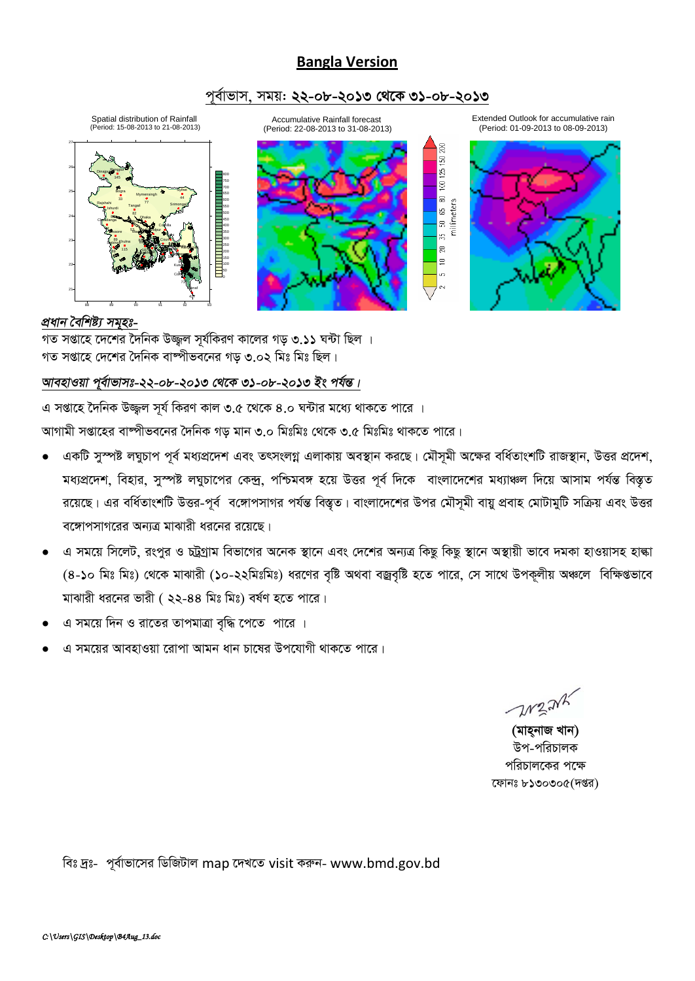## **Bangla Version**

## পুর্বাভাস, সময়: ২২-০৮-২০১৩ থেকে ৩১-০৮-২০১৩











## প্ৰধান বৈশিষ্ট্য সমুহঃ-

গত সপ্তাহে দেশের দৈনিক উজ্জল সর্যকিরণ কালের গড় ৩.১১ ঘন্টা ছিল । গত সপ্তাহে দেশের দৈনিক বাষ্পীভবনের গড় ৩.০২ মিঃ মিঃ ছিল।

## আবহাওয়া পূর্বাভাসঃ-২২-০৮-২০১৩ থেকে ৩১-০৮-২০১৩ ইং পর্যন্ত।

এ সপ্তাহে দৈনিক উজ্জল সূর্য কিরণ কাল ৩.৫ থেকে ৪.০ ঘন্টার মধ্যে থাকতে পারে । আগামী সপ্তাহের বাম্পীভবনের দৈনিক গড় মান ৩.০ মিঃমিঃ থেকে ৩.৫ মিঃমিঃ থাকতে পারে।

- একটি সুস্পষ্ট লঘুচাপ পূর্ব মধ্যপ্রদেশ এবং তৎসংলগ্ন এলাকায় অবস্থান করছে। মৌসূমী অক্ষের বর্ধিতাংশটি রাজস্থান, উত্তর প্রদেশ, মধ্যপ্রদেশ, বিহার, সুস্পষ্ট লঘুচাপের কেন্দ্র, পশ্চিমবঙ্গ হয়ে উত্তর পূর্ব দিকে বাংলাদেশের মধ্যাঞ্চল দিয়ে আসাম পর্যন্ত বিস্তৃত রয়েছে। এর বর্ধিতাংশটি উত্তর-পূর্ব বঙ্গোপসাগর পর্যন্ত বিস্তৃত। বাংলাদেশের উপর মৌসমী বায়ু প্রবাহ মোটামুটি সক্রিয় এবং উত্তর বঙ্গোপসাগরের অন্যত্র মাঝারী ধরনের রয়েছে।
- এ সময়ে সিলেট, রংপুর ও চট্টগ্রাম বিভাগের অনেক স্থানে এবং দেশের অন্যত্র কিছু কিছু স্থানে অস্থায়ী ভাবে দমকা হাওয়াসহ হাঙ্কা  $\bullet$ (8-১০ মিঃ মিঃ) থেকে মাঝারী (১০-২২মিঃমিঃ) ধরণের বৃষ্টি অথবা বজ্রবৃষ্টি হতে পারে, সে সাথে উপকূলীয় অঞ্চলে বিক্ষিগুভাবে মাঝারী ধরনের ভারী ( ২২-৪৪ মিঃ মিঃ) বর্ষণ হতে পারে।
- এ সময়ে দিন ও রাতের তাপমাত্রা বৃদ্ধি পেতে পারে ।
- এ সময়ের আবহাওয়া রোপা আমন ধান চাষের উপযোগী থাকতে পারে।

 $-112.24k$ 

(মাহ্নাজ খান) উপ-পরিচালক পরিচালকের পক্ষে ফোনঃ ৮১৩০৩০৫(দপ্তর)

বিঃ দ্রঃ- পূর্বাভাসের ডিজিটাল map দেখতে visit করুন- www.bmd.gov.bd